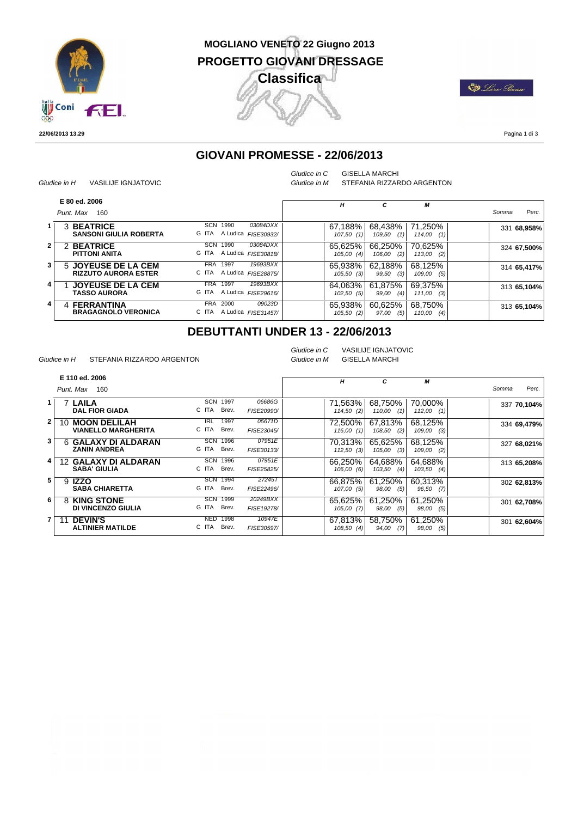

#### **MOGLIANO VENETO 22 Giugno 2013 PROGETTO GIOVANI DRESSAGE Classifica** Л

**ED** Loro Giana

**22/06/2013 13.29**

Pagina 1 di 3

### **GIOVANI PROMESSE - 22/06/2013**

| Giudice in H | <b>VASILIJE IGNJATOVIC</b> |
|--------------|----------------------------|
|              |                            |

*Giudice in C* GISELLA MARCHI

*Giudice in M* STEFANIA RIZZARDO ARGENTON

|              | E 80 ed. 2006                                      |                                                                | H                       | с                        | M                         |                |
|--------------|----------------------------------------------------|----------------------------------------------------------------|-------------------------|--------------------------|---------------------------|----------------|
|              | Punt, Max<br>160                                   |                                                                |                         |                          |                           | Perc.<br>Somma |
|              | 3 BEATRICE<br><b>SANSONI GIULIA ROBERTA</b>        | SCN<br>1990<br>03084DXX<br>G ITA A Ludica FISE30932/           | 67.188%<br>107,50(1)    | 68,438%<br>109,50<br>(1) | 71,250%<br>$114,00$ $(1)$ | 331 68,958%    |
| $\mathbf{2}$ | <b>BEATRICE</b><br>2<br><b>PITTONI ANITA</b>       | SCN<br>03084DXX<br>1990<br>G ITA<br>A Ludica FISE30818/        | 65,625%<br>105,00(4)    | 66.250%<br>(2)<br>106,00 | 70,625%<br>$113,00$ (2)   | 324 67,500%    |
| 3.           | 5 JOYEUSE DE LA CEM<br><b>RIZZUTO AURORA ESTER</b> | 19693BXX<br>1997<br><b>FRA</b><br>C ITA A Ludica FISE28875/    | 65.938%<br>$105,50$ (3) | 62.188%<br>(3)<br>99,50  | 68.125%<br>109,00<br>(5)  | 314 65,417%    |
| 4            | <b>JOYEUSE DE LA CEM</b><br><b>TASSO AURORA</b>    | 19693BXX<br><b>FRA</b><br>1997<br>G ITA<br>A Ludica FISE29616/ | 64.063%<br>$102,50$ (5) | 61,875%<br>99,00<br>(4)  | 69.375%<br>111,00<br>(3)  | 313 65.104%    |
| 4            | 4 FERRANTINA<br><b>BRAGAGNOLO VERONICA</b>         | 09023D<br><b>FRA</b><br>2000<br>C ITA<br>A Ludica FISE31457/   | 65,938%<br>105,50(2)    | 60,625%<br>(5)<br>97,00  | 68,750%<br>110,00<br>(4)  | 313 65,104%    |

## **DEBUTTANTI UNDER 13 - 22/06/2013**

*Giudice in H* STEFANIA RIZZARDO ARGENTON

*Giudice in C* VASILIJE IGNJATOVIC *Giudice in M* GISELLA MARCHI

|              | E 110 ed. 2006                                           |                                      |                        | H                       | C                        | М                        |                |
|--------------|----------------------------------------------------------|--------------------------------------|------------------------|-------------------------|--------------------------|--------------------------|----------------|
|              | Punt. Max<br>160                                         |                                      |                        |                         |                          |                          | Perc.<br>Somma |
| <u>1 l</u>   | <b>7 LAILA</b><br><b>DAL FIOR GIADA</b>                  | <b>SCN</b><br>1997<br>C ITA<br>Brev. | 06686G<br>FISE20990/   | 71.563%<br>114,50(2)    | 68.750%<br>110,00<br>(1) | 70.000%<br>112,00<br>(1) | 337 70,104%    |
| $\mathbf{2}$ | <b>MOON DELILAH</b><br>10.<br><b>VIANELLO MARGHERITA</b> | 1997<br><b>IRL</b><br>C ITA<br>Brev. | 05671D<br>FISE23045/   | 72.500%<br>116,00(1)    | 67.813%<br>(2)<br>108,50 | 68.125%<br>109,00<br>(3) | 334 69,479%    |
| 3            | <b>GALAXY DI ALDARAN</b><br>6<br><b>ZANIN ANDREA</b>     | <b>SCN</b><br>1996<br>G ITA<br>Brev. | 07951E<br>FISE30133/   | 70.313%<br>$112,50$ (3) | 65.625%<br>(3)<br>105,00 | 68.125%<br>109,00<br>(2) | 327 68,021%    |
| 4            | <b>GALAXY DI ALDARAN</b><br>12.<br><b>SABA' GIULIA</b>   | <b>SCN</b><br>1996<br>C ITA<br>Brev. | 07951E<br>FISE25825/   | 66.250%<br>106,00 (6)   | 64.688%<br>103,50<br>(4) | 64.688%<br>103,50<br>(4) | 313 65,208%    |
| 5            | 9 <b>IZZO</b><br><b>SABA CHIARETTA</b>                   | SCN<br>1994<br>G ITA<br>Brev.        | 27245T<br>FISE22496/   | 66.875%<br>107,00 (5)   | 61.250%<br>98,00<br>(5)  | 60.313%<br>96,50<br>(7)  | 302 62,813%    |
| 6            | 8 KING STONE<br>DI VINCENZO GIULIA                       | <b>SCN</b><br>1999<br>G ITA<br>Brev. | 20249BXX<br>FISE19278/ | 65.625%<br>$105,00$ (7) | 61.250%<br>(5)<br>98.00  | 61.250%<br>98,00<br>(5)  | 301 62,708%    |
| 7            | <b>DEVIN'S</b><br><b>ALTINIER MATILDE</b>                | 1998<br>NED<br>C ITA<br>Brev.        | 10947E<br>FISE30597/   | 67.813%<br>$108,50$ (4) | 58.750%<br>(7)<br>94,00  | 61,250%<br>98,00<br>(5)  | 301 62,604%    |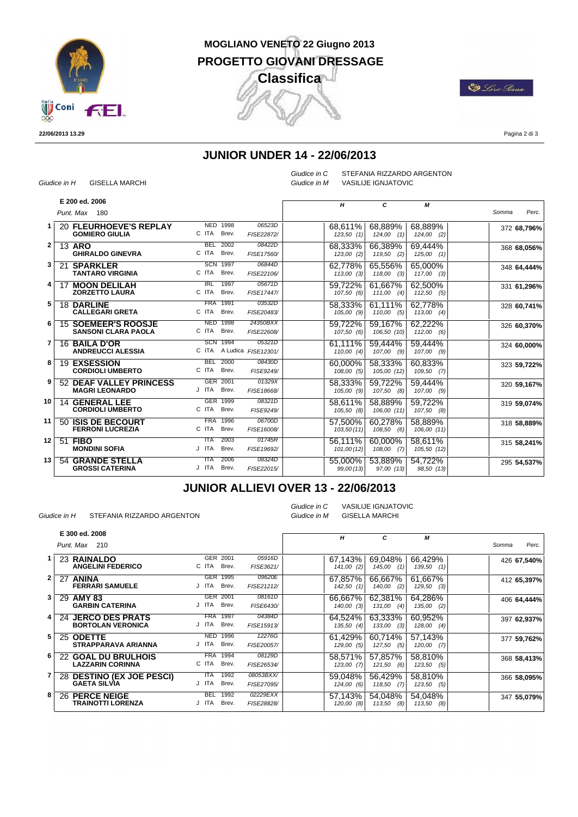

#### **MOGLIANO VENETO 22 Giugno 2013 PROGETTO GIOVANI DRESSAGE Classifica** J

**ED** Loro Giana

**22/06/2013 13.29**

Pagina 2 di 3

### **JUNIOR UNDER 14 - 22/06/2013**

| Giudice in H | <b>GISELLA MARCHI</b> |
|--------------|-----------------------|
|              |                       |

*Giudice in C*

STEFANIA RIZZARDO ARGENTON *Giudice in M* VASILIJE IGNJATOVIC

|                 |    | E 200 ed. 2006                                           |                                       |                        |                       |                           |                         |                |
|-----------------|----|----------------------------------------------------------|---------------------------------------|------------------------|-----------------------|---------------------------|-------------------------|----------------|
|                 |    | Punt. Max 180                                            |                                       |                        | H                     | С                         | М                       | Somma<br>Perc. |
|                 |    | 20 FLEURHOEVE'S REPLAY<br><b>GOMIERO GIULIA</b>          | <b>NED</b><br>1998<br>C ITA<br>Brev.  | 06523D<br>FISE22872/   | 68,611%<br>123,50(1)  | 68.889%<br>$124,00$ $(1)$ | 68,889%<br>$124,00$ (2) | 372 68,796%    |
| 2               |    | 13 ARO<br><b>GHIRALDO GINEVRA</b>                        | <b>BEL</b><br>2002<br>C ITA<br>Brev.  | 08422D<br>FISE17560/   | 68,333%<br>123,00 (2) | 66,389%<br>$119,50$ (2)   | 69,444%<br>$125,00$ (1) | 368 68,056%    |
| 3               |    | 21 SPARKLER<br><b>TANTARO VIRGINIA</b>                   | <b>SCN 1997</b><br>C ITA<br>Brev.     | 06844D<br>FISE22106/   | 62,778%<br>113,00(3)  | 65,556%<br>118,00<br>(3)  | 65.000%<br>$117,00$ (3) | 348 64,444%    |
| 4               | 17 | <b>MOON DELILAH</b><br><b>ZORZETTO LAURA</b>             | IRL<br>1997<br>C ITA<br>Brev.         | 05671D<br>FISE17447/   | 59.722%<br>107,50 (6) | 61.667%<br>111,00<br>(4)  | 62,500%<br>$112,50$ (5) | 331 61,296%    |
| 5               |    | <b>18 DARLINE</b><br><b>CALLEGARI GRETA</b>              | <b>FRA</b><br>1991<br>C ITA<br>Brev.  | 03532D<br>FISE20483/   | 58.333%<br>105,00 (9) | 61.111%<br>110,00<br>(5)  | 62.778%<br>$113,00$ (4) | 328 60,741%    |
| 6               |    | <b>15 SOEMEER'S ROOSJE</b><br><b>SANSONI CLARA PAOLA</b> | <b>NED</b><br>1998<br>C ITA<br>Brev.  | 24350BXX<br>FISE22608/ | 59.722%<br>107,50(6)  | 59.167%<br>106,50 (10)    | 62,222%<br>$112,00$ (6) | 326 60,370%    |
|                 |    | 16 BAILA D'OR<br><b>ANDREUCCI ALESSIA</b>                | SCN 1994<br>C ITA A Ludica FISE12301/ | 05321D                 | 61.111%<br>110,00(4)  | 59.444%<br>$107,00$ (9)   | 59,444%<br>$107,00$ (9) | 324 60,000%    |
| 8               |    | <b>19 EXSESSION</b><br><b>CORDIOLI UMBERTO</b>           | 2000<br><b>BEL</b><br>C ITA<br>Brev.  | 08430D<br>FISE9249/    | 60.000%<br>108,00(5)  | 58,333%<br>105,00 (12)    | 60,833%<br>$109,50$ (7) | 323 59,722%    |
| 9               |    | <b>52 DEAF VALLEY PRINCESS</b><br><b>MAGRI LEONARDO</b>  | GER 2001<br>J ITA<br>Brev.            | 01329X<br>FISE18668/   | 58.333%<br>105,00 (9) | 59,722%<br>107,50<br>(8)  | 59,444%<br>$107,00$ (9) | 320 59,167%    |
| 10 <sup>1</sup> |    | <b>14 GENERAL LEE</b><br><b>CORDIOLI UMBERTO</b>         | GER 1999<br>C ITA<br>Brev.            | 08321D<br>FISE9249/    | 58.611%<br>105,50 (8) | 58.889%<br>106,00 (11)    | 59,722%<br>$107,50$ (8) | 319 59,074%    |
| 11              |    | 50 ISIS DE BECOURT<br><b>FERRONI LUCREZIA</b>            | <b>FRA</b><br>1996<br>C ITA<br>Brev.  | 06700D<br>FISE16008/   | 57.500%<br>103,50(11) | 60.278%<br>$108,50$ (6)   | 58.889%<br>106,00 (11)  | 318 58,889%    |
| 12              |    | 51 FIBO<br><b>MONDINI SOFIA</b>                          | 2003<br><b>ITA</b><br>J ITA<br>Brev.  | 01745R<br>FISE19692/   | 56.111%<br>101,00(12) | 60.000%<br>$108,00$ (7)   | 58.611%<br>105,50 (12)  | 315 58,241%    |
| 13              |    | <b>54 GRANDE STELLA</b><br><b>GROSSI CATERINA</b>        | 2006<br><b>ITA</b><br>J ITA<br>Brev.  | 08324D<br>FISE22015/   | 55,000%<br>99,00 (13) | 53.889%<br>97,00 (13)     | 54.722%<br>98,50 (13)   | 295 54,537%    |

#### **JUNIOR ALLIEVI OVER 13 - 22/06/2013**

*Giudice in H* STEFANIA RIZZARDO ARGENTON

*Giudice in C* VASILIJE IGNJATOVIC *Giudice in M* GISELLA MARCHI

|     | E 300 ed. 2008             |                    |            | н            | C             | М             |                |
|-----|----------------------------|--------------------|------------|--------------|---------------|---------------|----------------|
|     | Punt. Max 210              |                    |            |              |               |               | Perc.<br>Somma |
| 1 I | 23 RAINALDO                | GER 2001           | 05916D     | 67.143%      | 69.048%       | 66,429%       | 426 67,540%    |
|     | <b>ANGELINI FEDERICO</b>   | C ITA<br>Brev.     | FISE3621/  | 141,00(2)    | (1)<br>145,00 | 139,50<br>(1) |                |
| 2   | 27 ANINA                   | GER 1995           | 09620E     | 67,857%      | 66,667%       | 61,667%       | 412 65,397%    |
|     | <b>FERRARI SAMUELE</b>     | J ITA<br>Brev.     | FISE21212/ | 142,50(1)    | (2)<br>140,00 | 129,50<br>(3) |                |
| 3   | 29 AMY 83                  | GER 2001           | 08161D     | 66.667%      | 62,381%       | 64,286%       | 406 64,444%    |
|     | <b>GARBIN CATERINA</b>     | J ITA<br>Brev.     | FISE6430/  | 140,00(3)    | $131,00$ (4)  | 135,00<br>(2) |                |
| 4   | 24 JERCO DES PRATS         | <b>FRA 1997</b>    | 04384D     | 64,524%      | 63,333%       | 60.952%       | 397 62,937%    |
|     | <b>BORTOLAN VERONICA</b>   | J ITA<br>Brev.     | FISE15913/ | 135,50(4)    | 133,00<br>(3) | 128,00<br>(4) |                |
| 5   | 25 ODETTE                  | NED.<br>1996       | 12276G     | 61,429%      | 60.714%       | 57,143%       | 377 59,762%    |
|     | <b>STRAPPARAVA ARIANNA</b> | J ITA<br>Brev.     | FISE20057/ | $129,00$ (5) | 127,50<br>(5) | 120,00<br>(7) |                |
| 6   | <b>22 GOAL DU BRULHOIS</b> | FRA 1994           | 08129D     | 58.571%      | 57.857%       | 58.810%       | 368 58,413%    |
|     | <b>LAZZARIN CORINNA</b>    | C ITA<br>Brev.     | FISE26534/ | $123,00$ (7) | 121,50<br>(6) | 123,50<br>(5) |                |
| 7   | 28 DESTINO (EX JOE PESCI)  | 1992<br><b>ITA</b> | 08053BXX/  | 59.048%      | 56.429%       | 58,810%       | 366 58,095%    |
|     | <b>GAETA SILVIA</b>        | J ITA<br>Brev.     | FISE27095/ | 124,00 (6)   | 118,50<br>(7) | 123,50<br>(5) |                |
| 8   | 26 PERCE NEIGE             | <b>BEL</b><br>1992 | 02229EXX   | 57.143%      | 54.048%       | 54.048%       | 347 55,079%    |
|     | <b>TRAINOTTI LORENZA</b>   | J ITA<br>Brev.     | FISE28828/ | 120,00 (8)   | 113,50<br>(8) | 113,50<br>(8) |                |